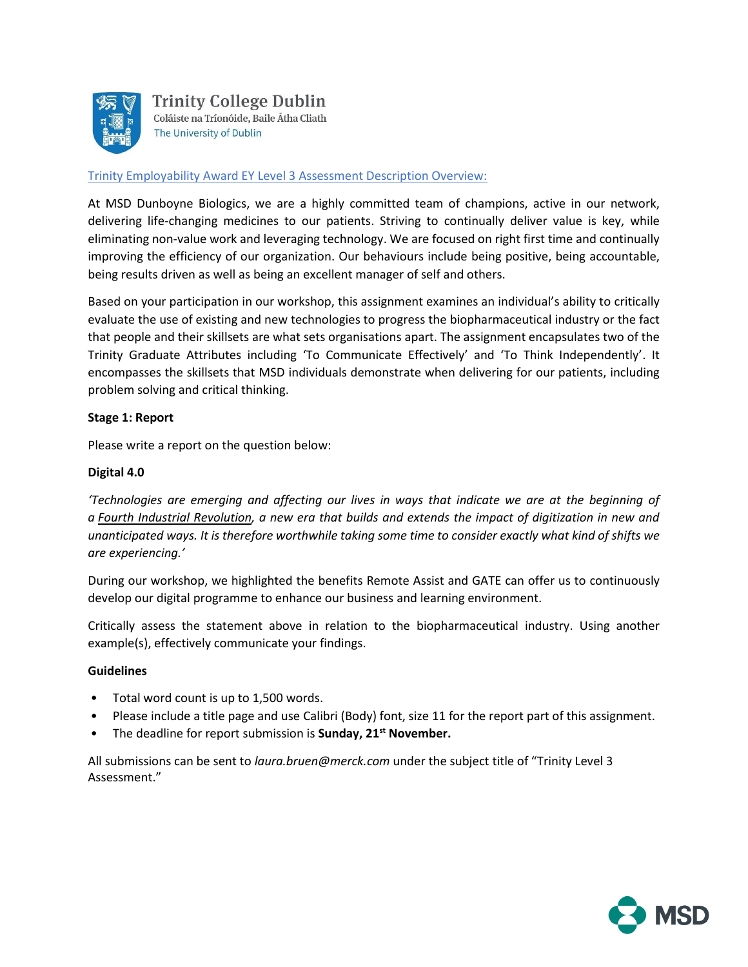

**Trinity College Dublin** Coláiste na Tríonóide, Baile Átha Cliath The University of Dublin

# Trinity Employability Award EY Level 3 Assessment Description Overview:

At MSD Dunboyne Biologics, we are a highly committed team of champions, active in our network, delivering life-changing medicines to our patients. Striving to continually deliver value is key, while eliminating non-value work and leveraging technology. We are focused on right first time and continually improving the efficiency of our organization. Our behaviours include being positive, being accountable, being results driven as well as being an excellent manager of self and others.

Based on your participation in our workshop, this assignment examines an individual's ability to critically evaluate the use of existing and new technologies to progress the biopharmaceutical industry or the fact that people and their skillsets are what sets organisations apart. The assignment encapsulates two of the Trinity Graduate Attributes including 'To Communicate Effectively' and 'To Think Independently'. It encompasses the skillsets that MSD individuals demonstrate when delivering for our patients, including problem solving and critical thinking.

## **Stage 1: Report**

Please write a report on the question below:

# **Digital 4.0**

*'Technologies are emerging and affecting our lives in ways that indicate we are at the beginning of a [Fourth Industrial Revolution,](http://www.amazon.com/Fourth-Industrial-Revolution-Klaus-Schwab-ebook/dp/B01AIT6SZ8) a new era that builds and extends the impact of digitization in new and unanticipated ways. It is therefore worthwhile taking some time to consider exactly what kind of shifts we are experiencing.'*

During our workshop, we highlighted the benefits Remote Assist and GATE can offer us to continuously develop our digital programme to enhance our business and learning environment.

Critically assess the statement above in relation to the biopharmaceutical industry. Using another example(s), effectively communicate your findings.

## **Guidelines**

- Total word count is up to 1,500 words.
- Please include a title page and use Calibri (Body) font, size 11 for the report part of this assignment.
- The deadline for report submission is **Sunday, 21st November.**

All submissions can be sent to *laura.bruen@merck.com* under the subject title of "Trinity Level 3 Assessment."